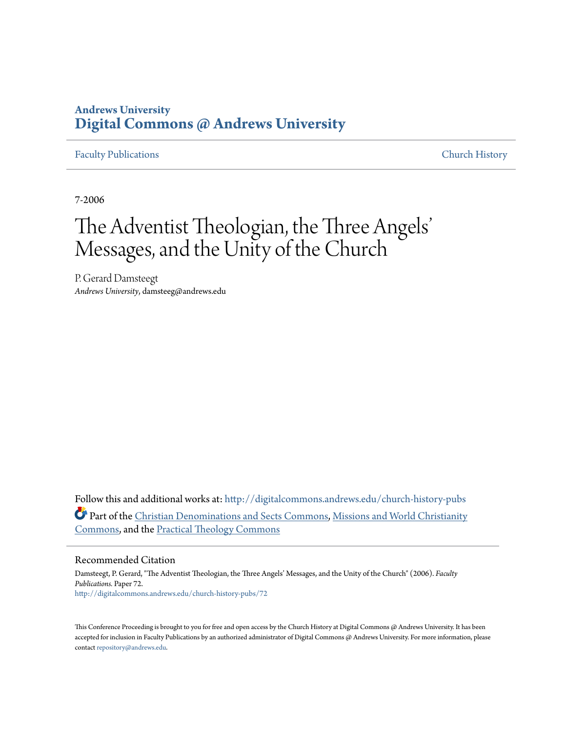### **Andrews University [Digital Commons @ Andrews University](http://digitalcommons.andrews.edu?utm_source=digitalcommons.andrews.edu%2Fchurch-history-pubs%2F72&utm_medium=PDF&utm_campaign=PDFCoverPages)**

#### [Faculty Publications](http://digitalcommons.andrews.edu/church-history-pubs?utm_source=digitalcommons.andrews.edu%2Fchurch-history-pubs%2F72&utm_medium=PDF&utm_campaign=PDFCoverPages) **[Church History](http://digitalcommons.andrews.edu/church-history?utm_source=digitalcommons.andrews.edu%2Fchurch-history-pubs%2F72&utm_medium=PDF&utm_campaign=PDFCoverPages)** Church History

7-2006

### The Adventist Theologian, the Three Angels ' Messages, and the Unity of the Church

P. Gerard Damsteegt *Andrews University*, damsteeg@andrews.edu

Follow this and additional works at: [http://digitalcommons.andrews.edu/church-history-pubs](http://digitalcommons.andrews.edu/church-history-pubs?utm_source=digitalcommons.andrews.edu%2Fchurch-history-pubs%2F72&utm_medium=PDF&utm_campaign=PDFCoverPages) Part of the [Christian Denominations and Sects Commons](http://network.bepress.com/hgg/discipline/1184?utm_source=digitalcommons.andrews.edu%2Fchurch-history-pubs%2F72&utm_medium=PDF&utm_campaign=PDFCoverPages), [Missions and World Christianity](http://network.bepress.com/hgg/discipline/1187?utm_source=digitalcommons.andrews.edu%2Fchurch-history-pubs%2F72&utm_medium=PDF&utm_campaign=PDFCoverPages) [Commons,](http://network.bepress.com/hgg/discipline/1187?utm_source=digitalcommons.andrews.edu%2Fchurch-history-pubs%2F72&utm_medium=PDF&utm_campaign=PDFCoverPages) and the [Practical Theology Commons](http://network.bepress.com/hgg/discipline/1186?utm_source=digitalcommons.andrews.edu%2Fchurch-history-pubs%2F72&utm_medium=PDF&utm_campaign=PDFCoverPages)

#### Recommended Citation

Damsteegt, P. Gerard, "The Adventist Theologian, the Three Angels' Messages, and the Unity of the Church" (2006). *Faculty Publications.* Paper 72. [http://digitalcommons.andrews.edu/church-history-pubs/72](http://digitalcommons.andrews.edu/church-history-pubs/72?utm_source=digitalcommons.andrews.edu%2Fchurch-history-pubs%2F72&utm_medium=PDF&utm_campaign=PDFCoverPages)

This Conference Proceeding is brought to you for free and open access by the Church History at Digital Commons @ Andrews University. It has been accepted for inclusion in Faculty Publications by an authorized administrator of Digital Commons @ Andrews University. For more information, please contact [repository@andrews.edu.](mailto:repository@andrews.edu)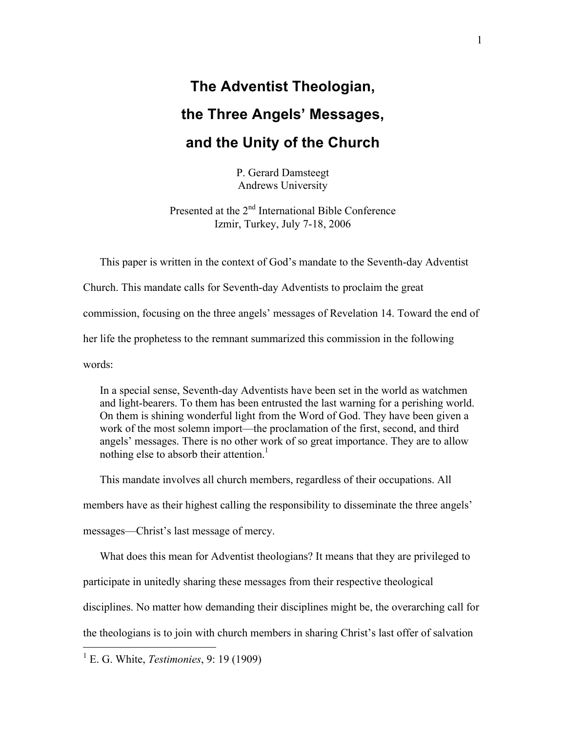# **The Adventist Theologian, the Three Angels' Messages, and the Unity of the Church**

P. Gerard Damsteegt Andrews University

Presented at the 2<sup>nd</sup> International Bible Conference Izmir, Turkey, July 7-18, 2006

This paper is written in the context of God's mandate to the Seventh-day Adventist Church. This mandate calls for Seventh-day Adventists to proclaim the great commission, focusing on the three angels' messages of Revelation 14. Toward the end of her life the prophetess to the remnant summarized this commission in the following words:

In a special sense, Seventh-day Adventists have been set in the world as watchmen and light-bearers. To them has been entrusted the last warning for a perishing world. On them is shining wonderful light from the Word of God. They have been given a work of the most solemn import—the proclamation of the first, second, and third angels' messages. There is no other work of so great importance. They are to allow nothing else to absorb their attention.<sup>1</sup>

This mandate involves all church members, regardless of their occupations. All

members have as their highest calling the responsibility to disseminate the three angels'

messages—Christ's last message of mercy.

What does this mean for Adventist theologians? It means that they are privileged to

participate in unitedly sharing these messages from their respective theological

disciplines. No matter how demanding their disciplines might be, the overarching call for

the theologians is to join with church members in sharing Christ's last offer of salvation

 <sup>1</sup> E. G. White, *Testimonies*, 9: 19 (1909)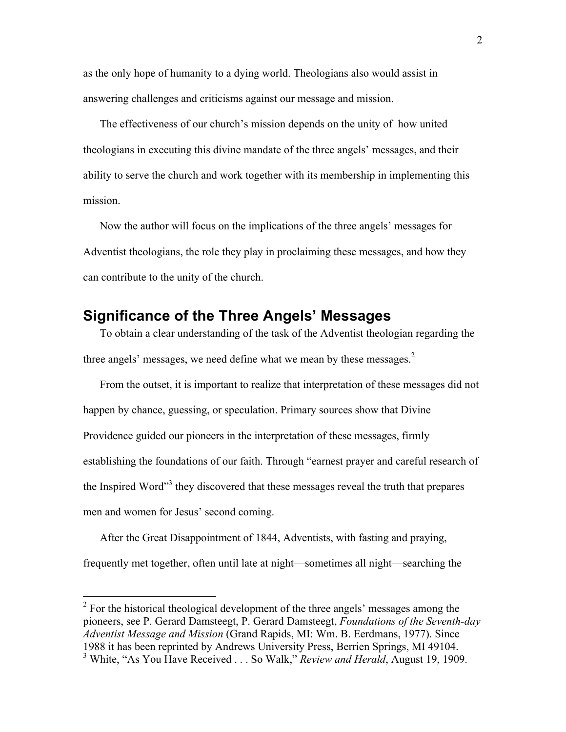as the only hope of humanity to a dying world. Theologians also would assist in answering challenges and criticisms against our message and mission.

The effectiveness of our church's mission depends on the unity of how united theologians in executing this divine mandate of the three angels' messages, and their ability to serve the church and work together with its membership in implementing this mission.

Now the author will focus on the implications of the three angels' messages for Adventist theologians, the role they play in proclaiming these messages, and how they can contribute to the unity of the church.

### **Significance of the Three Angels' Messages**

To obtain a clear understanding of the task of the Adventist theologian regarding the three angels' messages, we need define what we mean by these messages. $<sup>2</sup>$ </sup>

From the outset, it is important to realize that interpretation of these messages did not happen by chance, guessing, or speculation. Primary sources show that Divine Providence guided our pioneers in the interpretation of these messages, firmly establishing the foundations of our faith. Through "earnest prayer and careful research of the Inspired Word<sup>33</sup> they discovered that these messages reveal the truth that prepares men and women for Jesus' second coming.

After the Great Disappointment of 1844, Adventists, with fasting and praying, frequently met together, often until late at night—sometimes all night—searching the

 $2^2$  For the historical theological development of the three angels' messages among the pioneers, see P. Gerard Damsteegt, P. Gerard Damsteegt, *Foundations of the Seventh-day Adventist Message and Mission* (Grand Rapids, MI: Wm. B. Eerdmans, 1977). Since 1988 it has been reprinted by Andrews University Press, Berrien Springs, MI 49104.

<sup>3</sup> White, "As You Have Received . . . So Walk," *Review and Herald*, August 19, 1909.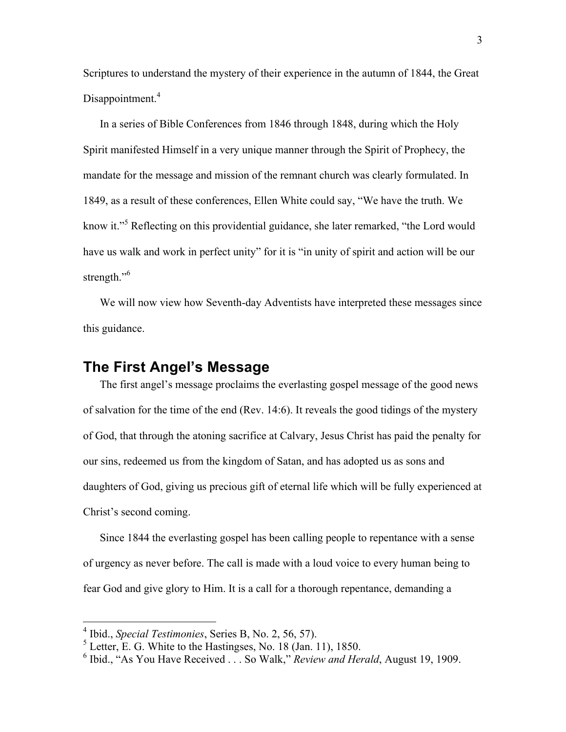Scriptures to understand the mystery of their experience in the autumn of 1844, the Great Disappointment.<sup>4</sup>

In a series of Bible Conferences from 1846 through 1848, during which the Holy Spirit manifested Himself in a very unique manner through the Spirit of Prophecy, the mandate for the message and mission of the remnant church was clearly formulated. In 1849, as a result of these conferences, Ellen White could say, "We have the truth. We know it."<sup>5</sup> Reflecting on this providential guidance, she later remarked, "the Lord would have us walk and work in perfect unity" for it is "in unity of spirit and action will be our strength."<sup>6</sup>

We will now view how Seventh-day Adventists have interpreted these messages since this guidance.

### **The First Angel's Message**

The first angel's message proclaims the everlasting gospel message of the good news of salvation for the time of the end (Rev. 14:6). It reveals the good tidings of the mystery of God, that through the atoning sacrifice at Calvary, Jesus Christ has paid the penalty for our sins, redeemed us from the kingdom of Satan, and has adopted us as sons and daughters of God, giving us precious gift of eternal life which will be fully experienced at Christ's second coming.

Since 1844 the everlasting gospel has been calling people to repentance with a sense of urgency as never before. The call is made with a loud voice to every human being to fear God and give glory to Him. It is a call for a thorough repentance, demanding a

 <sup>4</sup> Ibid., *Special Testimonies*, Series B, No. 2, 56, 57).

 $<sup>5</sup>$  Letter, E. G. White to the Hastingses, No. 18 (Jan. 11), 1850.</sup>

<sup>6</sup> Ibid., "As You Have Received . . . So Walk," *Review and Herald*, August 19, 1909.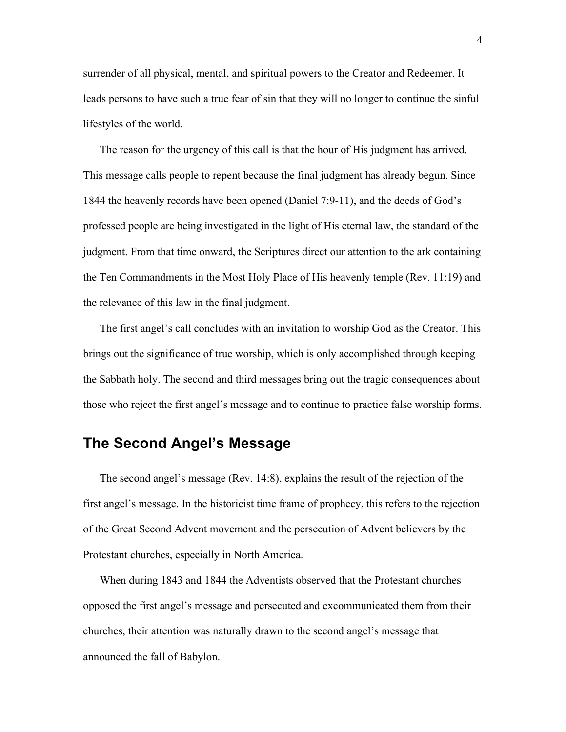surrender of all physical, mental, and spiritual powers to the Creator and Redeemer. It leads persons to have such a true fear of sin that they will no longer to continue the sinful lifestyles of the world.

The reason for the urgency of this call is that the hour of His judgment has arrived. This message calls people to repent because the final judgment has already begun. Since 1844 the heavenly records have been opened (Daniel 7:9-11), and the deeds of God's professed people are being investigated in the light of His eternal law, the standard of the judgment. From that time onward, the Scriptures direct our attention to the ark containing the Ten Commandments in the Most Holy Place of His heavenly temple (Rev. 11:19) and the relevance of this law in the final judgment.

The first angel's call concludes with an invitation to worship God as the Creator. This brings out the significance of true worship, which is only accomplished through keeping the Sabbath holy. The second and third messages bring out the tragic consequences about those who reject the first angel's message and to continue to practice false worship forms.

### **The Second Angel's Message**

The second angel's message (Rev. 14:8), explains the result of the rejection of the first angel's message. In the historicist time frame of prophecy, this refers to the rejection of the Great Second Advent movement and the persecution of Advent believers by the Protestant churches, especially in North America.

When during 1843 and 1844 the Adventists observed that the Protestant churches opposed the first angel's message and persecuted and excommunicated them from their churches, their attention was naturally drawn to the second angel's message that announced the fall of Babylon.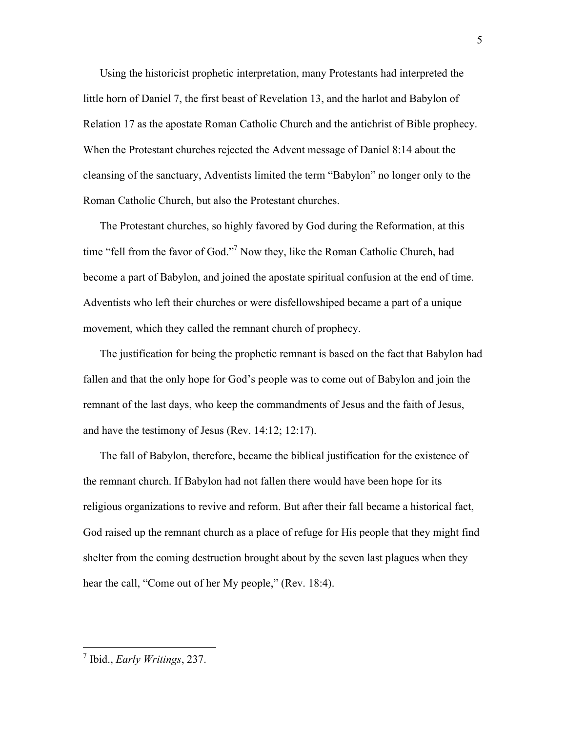Using the historicist prophetic interpretation, many Protestants had interpreted the little horn of Daniel 7, the first beast of Revelation 13, and the harlot and Babylon of Relation 17 as the apostate Roman Catholic Church and the antichrist of Bible prophecy. When the Protestant churches rejected the Advent message of Daniel 8:14 about the cleansing of the sanctuary, Adventists limited the term "Babylon" no longer only to the Roman Catholic Church, but also the Protestant churches.

The Protestant churches, so highly favored by God during the Reformation, at this time "fell from the favor of God."<sup>7</sup> Now they, like the Roman Catholic Church, had become a part of Babylon, and joined the apostate spiritual confusion at the end of time. Adventists who left their churches or were disfellowshiped became a part of a unique movement, which they called the remnant church of prophecy.

The justification for being the prophetic remnant is based on the fact that Babylon had fallen and that the only hope for God's people was to come out of Babylon and join the remnant of the last days, who keep the commandments of Jesus and the faith of Jesus, and have the testimony of Jesus (Rev. 14:12; 12:17).

The fall of Babylon, therefore, became the biblical justification for the existence of the remnant church. If Babylon had not fallen there would have been hope for its religious organizations to revive and reform. But after their fall became a historical fact, God raised up the remnant church as a place of refuge for His people that they might find shelter from the coming destruction brought about by the seven last plagues when they hear the call, "Come out of her My people," (Rev. 18:4).

 <sup>7</sup> Ibid., *Early Writings*, 237.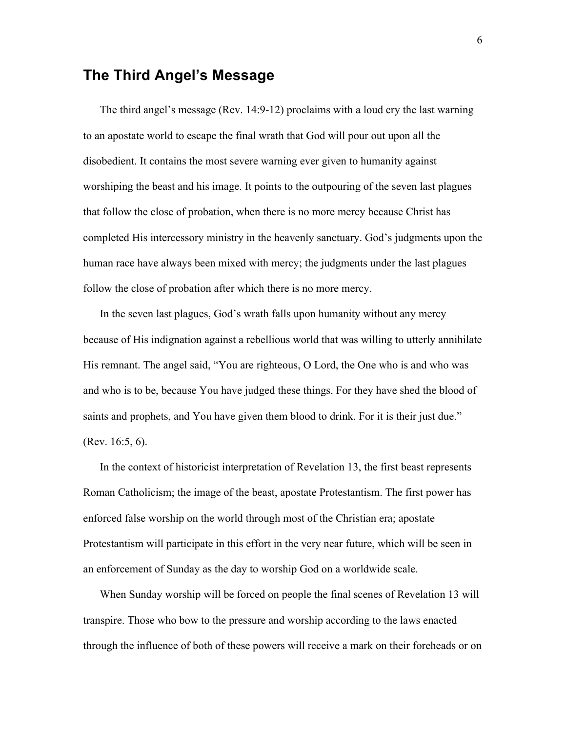### **The Third Angel's Message**

The third angel's message (Rev. 14:9-12) proclaims with a loud cry the last warning to an apostate world to escape the final wrath that God will pour out upon all the disobedient. It contains the most severe warning ever given to humanity against worshiping the beast and his image. It points to the outpouring of the seven last plagues that follow the close of probation, when there is no more mercy because Christ has completed His intercessory ministry in the heavenly sanctuary. God's judgments upon the human race have always been mixed with mercy; the judgments under the last plagues follow the close of probation after which there is no more mercy.

In the seven last plagues, God's wrath falls upon humanity without any mercy because of His indignation against a rebellious world that was willing to utterly annihilate His remnant. The angel said, "You are righteous, O Lord, the One who is and who was and who is to be, because You have judged these things. For they have shed the blood of saints and prophets, and You have given them blood to drink. For it is their just due." (Rev. 16:5, 6).

In the context of historicist interpretation of Revelation 13, the first beast represents Roman Catholicism; the image of the beast, apostate Protestantism. The first power has enforced false worship on the world through most of the Christian era; apostate Protestantism will participate in this effort in the very near future, which will be seen in an enforcement of Sunday as the day to worship God on a worldwide scale.

When Sunday worship will be forced on people the final scenes of Revelation 13 will transpire. Those who bow to the pressure and worship according to the laws enacted through the influence of both of these powers will receive a mark on their foreheads or on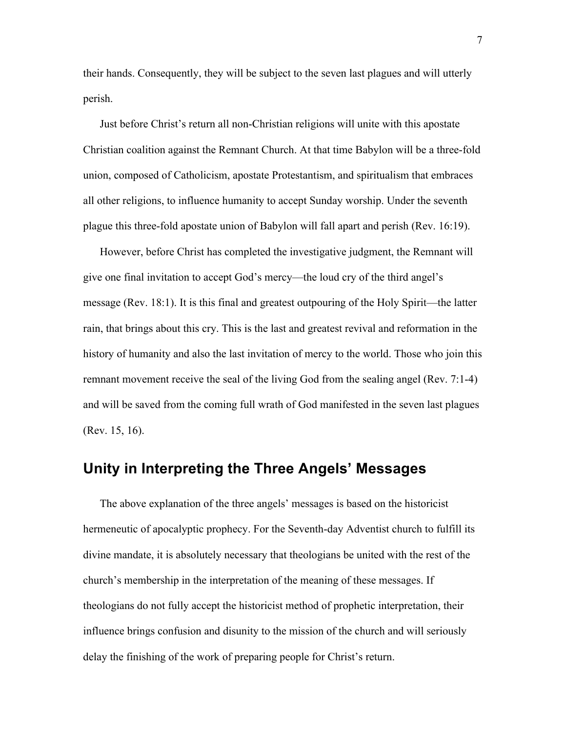their hands. Consequently, they will be subject to the seven last plagues and will utterly perish.

Just before Christ's return all non-Christian religions will unite with this apostate Christian coalition against the Remnant Church. At that time Babylon will be a three-fold union, composed of Catholicism, apostate Protestantism, and spiritualism that embraces all other religions, to influence humanity to accept Sunday worship. Under the seventh plague this three-fold apostate union of Babylon will fall apart and perish (Rev. 16:19).

However, before Christ has completed the investigative judgment, the Remnant will give one final invitation to accept God's mercy—the loud cry of the third angel's message (Rev. 18:1). It is this final and greatest outpouring of the Holy Spirit—the latter rain, that brings about this cry. This is the last and greatest revival and reformation in the history of humanity and also the last invitation of mercy to the world. Those who join this remnant movement receive the seal of the living God from the sealing angel (Rev. 7:1-4) and will be saved from the coming full wrath of God manifested in the seven last plagues (Rev. 15, 16).

### **Unity in Interpreting the Three Angels' Messages**

The above explanation of the three angels' messages is based on the historicist hermeneutic of apocalyptic prophecy. For the Seventh-day Adventist church to fulfill its divine mandate, it is absolutely necessary that theologians be united with the rest of the church's membership in the interpretation of the meaning of these messages. If theologians do not fully accept the historicist method of prophetic interpretation, their influence brings confusion and disunity to the mission of the church and will seriously delay the finishing of the work of preparing people for Christ's return.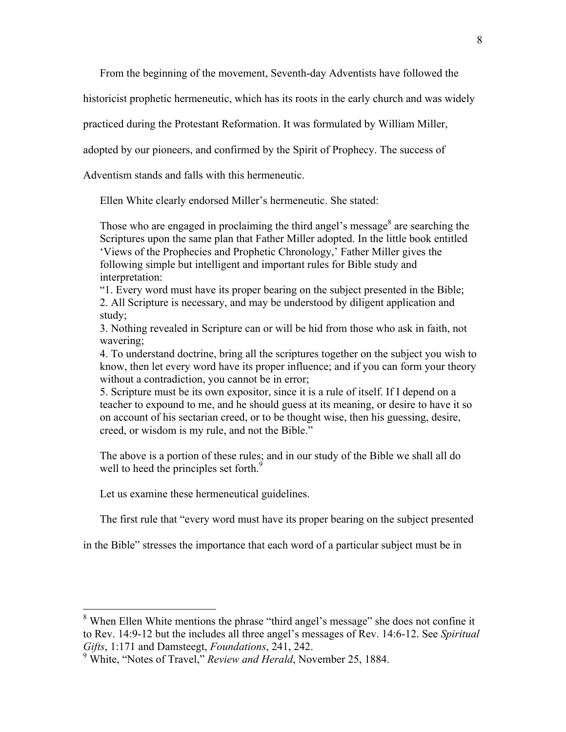From the beginning of the movement, Seventh-day Adventists have followed the

historicist prophetic hermeneutic, which has its roots in the early church and was widely

practiced during the Protestant Reformation. It was formulated by William Miller,

adopted by our pioneers, and confirmed by the Spirit of Prophecy. The success of

Adventism stands and falls with this hermeneutic.

Ellen White clearly endorsed Miller's hermeneutic. She stated:

Those who are engaged in proclaiming the third angel's message $\delta$  are searching the Scriptures upon the same plan that Father Miller adopted. In the little book entitled 'Views of the Prophecies and Prophetic Chronology,' Father Miller gives the following simple but intelligent and important rules for Bible study and interpretation:

"1. Every word must have its proper bearing on the subject presented in the Bible; 2. All Scripture is necessary, and may be understood by diligent application and study;

3. Nothing revealed in Scripture can or will be hid from those who ask in faith, not wavering;

4. To understand doctrine, bring all the scriptures together on the subject you wish to know, then let every word have its proper influence; and if you can form your theory without a contradiction, you cannot be in error;

5. Scripture must be its own expositor, since it is a rule of itself. If I depend on a teacher to expound to me, and he should guess at its meaning, or desire to have it so on account of his sectarian creed, or to be thought wise, then his guessing, desire, creed, or wisdom is my rule, and not the Bible."

The above is a portion of these rules; and in our study of the Bible we shall all do well to heed the principles set forth.<sup>9</sup>

Let us examine these hermeneutical guidelines.

The first rule that "every word must have its proper bearing on the subject presented

in the Bible" stresses the importance that each word of a particular subject must be in

 <sup>8</sup> When Ellen White mentions the phrase "third angel's message" she does not confine it to Rev. 14:9-12 but the includes all three angel's messages of Rev. 14:6-12. See *Spiritual Gifts*, 1:171 and Damsteegt, *Foundations*, 241, 242.

<sup>9</sup> White, "Notes of Travel," *Review and Herald*, November 25, 1884.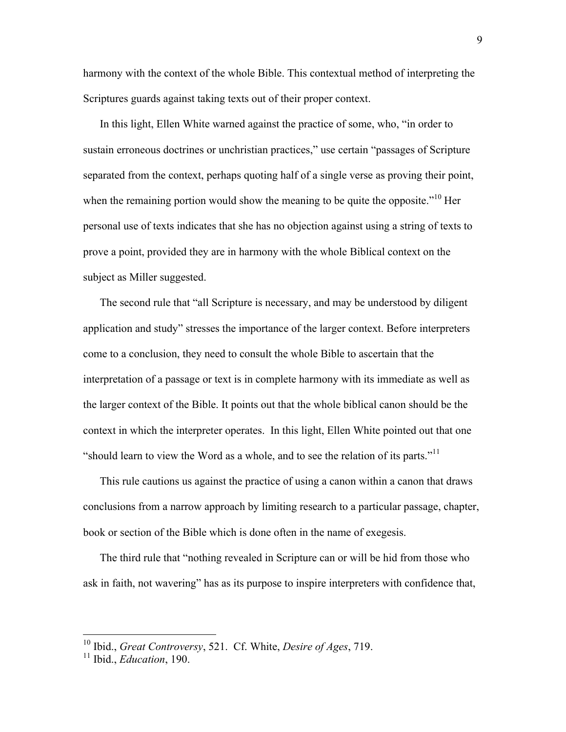harmony with the context of the whole Bible. This contextual method of interpreting the Scriptures guards against taking texts out of their proper context.

In this light, Ellen White warned against the practice of some, who, "in order to sustain erroneous doctrines or unchristian practices," use certain "passages of Scripture separated from the context, perhaps quoting half of a single verse as proving their point, when the remaining portion would show the meaning to be quite the opposite."<sup>10</sup> Her personal use of texts indicates that she has no objection against using a string of texts to prove a point, provided they are in harmony with the whole Biblical context on the subject as Miller suggested.

The second rule that "all Scripture is necessary, and may be understood by diligent application and study" stresses the importance of the larger context. Before interpreters come to a conclusion, they need to consult the whole Bible to ascertain that the interpretation of a passage or text is in complete harmony with its immediate as well as the larger context of the Bible. It points out that the whole biblical canon should be the context in which the interpreter operates. In this light, Ellen White pointed out that one "should learn to view the Word as a whole, and to see the relation of its parts."<sup>11</sup>

This rule cautions us against the practice of using a canon within a canon that draws conclusions from a narrow approach by limiting research to a particular passage, chapter, book or section of the Bible which is done often in the name of exegesis.

The third rule that "nothing revealed in Scripture can or will be hid from those who ask in faith, not wavering" has as its purpose to inspire interpreters with confidence that,

 <sup>10</sup> Ibid., *Great Controversy*, 521. Cf. White, *Desire of Ages*, 719.

<sup>&</sup>lt;sup>11</sup> Ibid., *Education*, 190.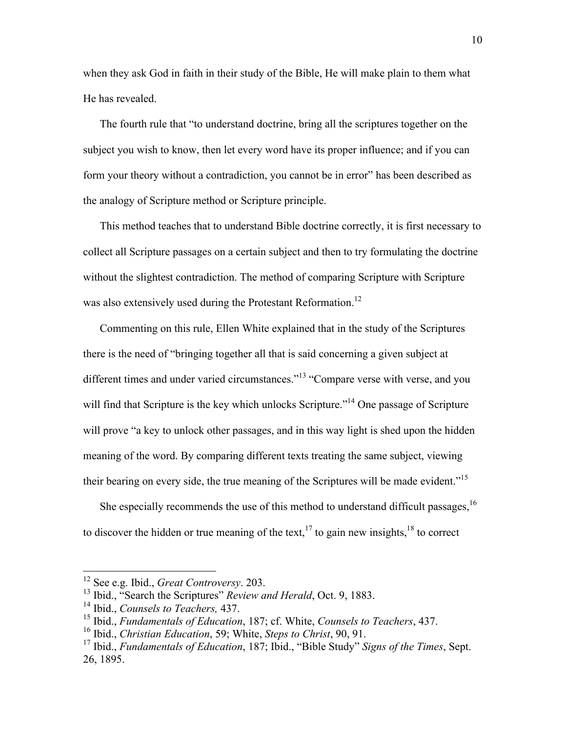when they ask God in faith in their study of the Bible, He will make plain to them what He has revealed.

The fourth rule that "to understand doctrine, bring all the scriptures together on the subject you wish to know, then let every word have its proper influence; and if you can form your theory without a contradiction, you cannot be in error" has been described as the analogy of Scripture method or Scripture principle.

This method teaches that to understand Bible doctrine correctly, it is first necessary to collect all Scripture passages on a certain subject and then to try formulating the doctrine without the slightest contradiction. The method of comparing Scripture with Scripture was also extensively used during the Protestant Reformation.<sup>12</sup>

Commenting on this rule, Ellen White explained that in the study of the Scriptures there is the need of "bringing together all that is said concerning a given subject at different times and under varied circumstances."<sup>13</sup> "Compare verse with verse, and you will find that Scripture is the key which unlocks Scripture."<sup>14</sup> One passage of Scripture will prove "a key to unlock other passages, and in this way light is shed upon the hidden meaning of the word. By comparing different texts treating the same subject, viewing their bearing on every side, the true meaning of the Scriptures will be made evident."<sup>15</sup>

She especially recommends the use of this method to understand difficult passages,<sup>16</sup> to discover the hidden or true meaning of the text,<sup>17</sup> to gain new insights,<sup>18</sup> to correct

 <sup>12</sup> See e.g. Ibid., *Great Controversy*. 203.

<sup>&</sup>lt;sup>13</sup> Ibid., "Search the Scriptures" *Review and Herald*, Oct. 9, 1883.

<sup>14</sup> Ibid., *Counsels to Teachers,* 437.

<sup>15</sup> Ibid., *Fundamentals of Education*, 187; cf. White, *Counsels to Teachers*, 437.

<sup>16</sup> Ibid., *Christian Education*, 59; White, *Steps to Christ*, 90, 91.

<sup>17</sup> Ibid., *Fundamentals of Education*, 187; Ibid., "Bible Study" *Signs of the Times*, Sept. 26, 1895.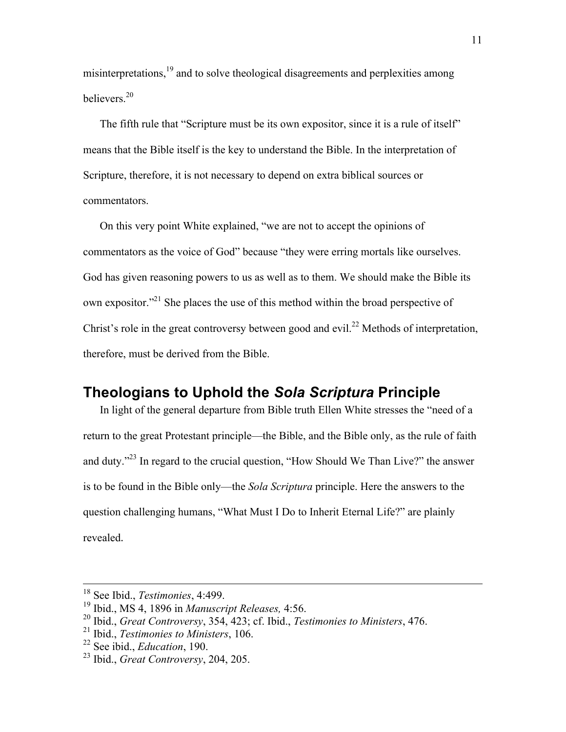misinterpretations,<sup>19</sup> and to solve theological disagreements and perplexities among believers<sup>20</sup>

The fifth rule that "Scripture must be its own expositor, since it is a rule of itself" means that the Bible itself is the key to understand the Bible. In the interpretation of Scripture, therefore, it is not necessary to depend on extra biblical sources or commentators.

On this very point White explained, "we are not to accept the opinions of commentators as the voice of God" because "they were erring mortals like ourselves. God has given reasoning powers to us as well as to them. We should make the Bible its own expositor."21 She places the use of this method within the broad perspective of Christ's role in the great controversy between good and evil.<sup>22</sup> Methods of interpretation, therefore, must be derived from the Bible.

### **Theologians to Uphold the** *Sola Scriptura* **Principle**

In light of the general departure from Bible truth Ellen White stresses the "need of a return to the great Protestant principle—the Bible, and the Bible only, as the rule of faith and duty."23 In regard to the crucial question, "How Should We Than Live?" the answer is to be found in the Bible only—the *Sola Scriptura* principle. Here the answers to the question challenging humans, "What Must I Do to Inherit Eternal Life?" are plainly revealed.

 <sup>18</sup> See Ibid., *Testimonies*, 4:499.

<sup>19</sup> Ibid., MS 4, 1896 in *Manuscript Releases,* 4:56.

<sup>20</sup> Ibid., *Great Controversy*, 354, 423; cf. Ibid., *Testimonies to Ministers*, 476.

<sup>21</sup> Ibid., *Testimonies to Ministers*, 106.

<sup>22</sup> See ibid., *Education*, 190.

<sup>23</sup> Ibid., *Great Controversy*, 204, 205.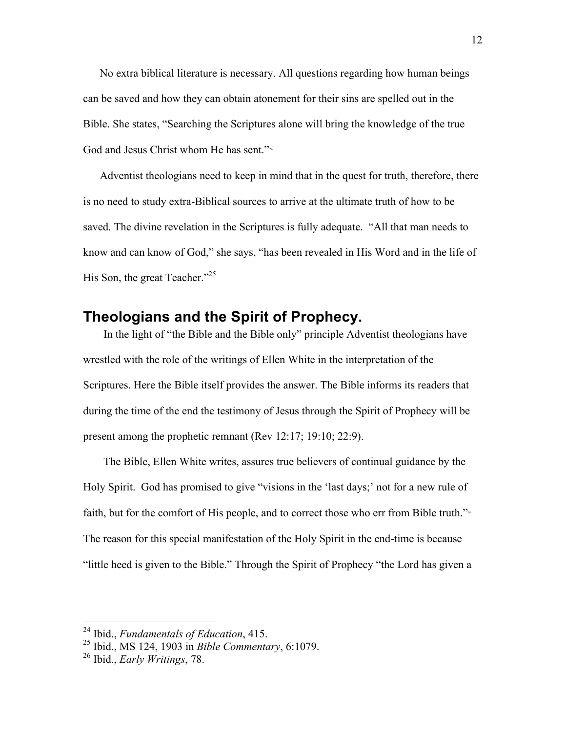No extra biblical literature is necessary. All questions regarding how human beings can be saved and how they can obtain atonement for their sins are spelled out in the Bible. She states, "Searching the Scriptures alone will bring the knowledge of the true God and Jesus Christ whom He has sent."24

Adventist theologians need to keep in mind that in the quest for truth, therefore, there is no need to study extra-Biblical sources to arrive at the ultimate truth of how to be saved. The divine revelation in the Scriptures is fully adequate. "All that man needs to know and can know of God," she says, "has been revealed in His Word and in the life of His Son, the great Teacher."<sup>25</sup>

# **Theologians and the Spirit of Prophecy.**

In the light of "the Bible and the Bible only" principle Adventist theologians have wrestled with the role of the writings of Ellen White in the interpretation of the Scriptures. Here the Bible itself provides the answer. The Bible informs its readers that during the time of the end the testimony of Jesus through the Spirit of Prophecy will be present among the prophetic remnant (Rev 12:17; 19:10; 22:9).

The Bible, Ellen White writes, assures true believers of continual guidance by the Holy Spirit. God has promised to give "visions in the 'last days;' not for a new rule of faith, but for the comfort of His people, and to correct those who err from Bible truth." The reason for this special manifestation of the Holy Spirit in the end-time is because "little heed is given to the Bible." Through the Spirit of Prophecy "the Lord has given a

 <sup>24</sup> Ibid., *Fundamentals of Education*, 415.

<sup>25</sup> Ibid., MS 124, 1903 in *Bible Commentary*, 6:1079.

<sup>26</sup> Ibid., *Early Writings*, 78.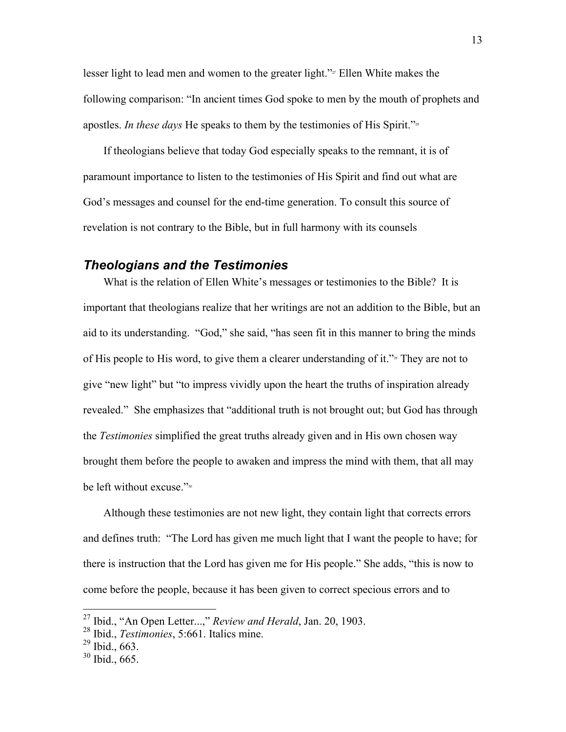lesser light to lead men and women to the greater light." $\alpha$  Ellen White makes the following comparison: "In ancient times God spoke to men by the mouth of prophets and apostles. *In these days* He speaks to them by the testimonies of His Spirit."<sup>28</sup>

If theologians believe that today God especially speaks to the remnant, it is of paramount importance to listen to the testimonies of His Spirit and find out what are God's messages and counsel for the end-time generation. To consult this source of revelation is not contrary to the Bible, but in full harmony with its counsels

#### *Theologians and the Testimonies*

What is the relation of Ellen White's messages or testimonies to the Bible? It is important that theologians realize that her writings are not an addition to the Bible, but an aid to its understanding. "God," she said, "has seen fit in this manner to bring the minds of His people to His word, to give them a clearer understanding of it." $\mathbb{R}^2$  They are not to give "new light" but "to impress vividly upon the heart the truths of inspiration already revealed." She emphasizes that "additional truth is not brought out; but God has through the *Testimonies* simplified the great truths already given and in His own chosen way brought them before the people to awaken and impress the mind with them, that all may be left without excuse."<sup>30</sup>

Although these testimonies are not new light, they contain light that corrects errors and defines truth: "The Lord has given me much light that I want the people to have; for there is instruction that the Lord has given me for His people." She adds, "this is now to come before the people, because it has been given to correct specious errors and to

 <sup>27</sup> Ibid., "An Open Letter...," *Review and Herald*, Jan. 20, 1903.

<sup>28</sup> Ibid., *Testimonies*, 5:661. Italics mine.

 $^{29}$  Ibid., 663.

 $30$  Ibid., 665.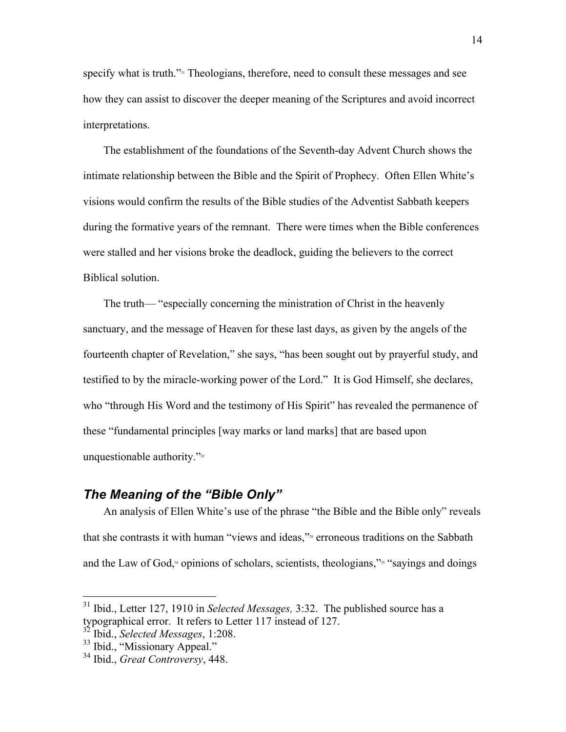specify what is truth."<sup>31</sup> Theologians, therefore, need to consult these messages and see how they can assist to discover the deeper meaning of the Scriptures and avoid incorrect interpretations.

The establishment of the foundations of the Seventh-day Advent Church shows the intimate relationship between the Bible and the Spirit of Prophecy. Often Ellen White's visions would confirm the results of the Bible studies of the Adventist Sabbath keepers during the formative years of the remnant. There were times when the Bible conferences were stalled and her visions broke the deadlock, guiding the believers to the correct Biblical solution.

The truth— "especially concerning the ministration of Christ in the heavenly sanctuary, and the message of Heaven for these last days, as given by the angels of the fourteenth chapter of Revelation," she says, "has been sought out by prayerful study, and testified to by the miracle-working power of the Lord." It is God Himself, she declares, who "through His Word and the testimony of His Spirit" has revealed the permanence of these "fundamental principles [way marks or land marks] that are based upon unquestionable authority." $\frac{3}{2}$ 

### *The Meaning of the "Bible Only"*

An analysis of Ellen White's use of the phrase "the Bible and the Bible only" reveals that she contrasts it with human "views and ideas,"<sup>33</sup> erroneous traditions on the Sabbath and the Law of God, $\alpha$  opinions of scholars, scientists, theologians," $\alpha$  "sayings and doings"

 <sup>31</sup> Ibid., Letter 127, 1910 in *Selected Messages,* 3:32. The published source has a typographical error. It refers to Letter 117 instead of 127.

<sup>32</sup> Ibid., *Selected Messages*, 1:208.

 $33$  Ibid., "Missionary Appeal."

<sup>34</sup> Ibid., *Great Controversy*, 448.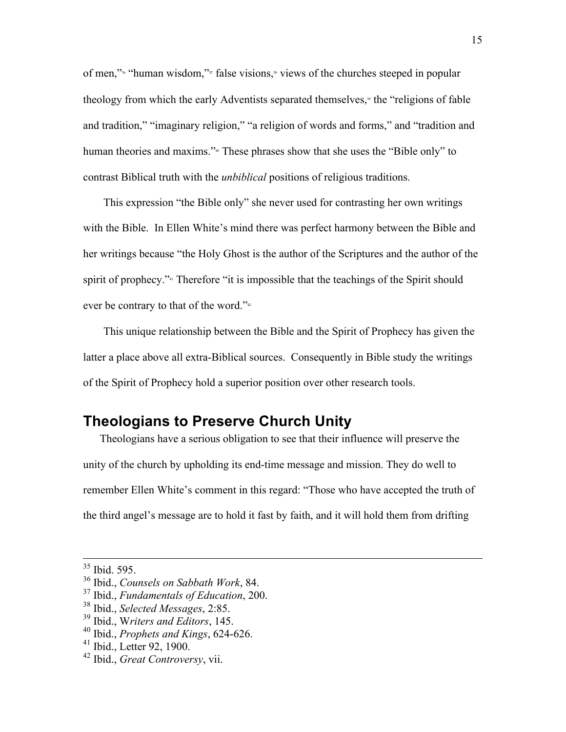of men,"<sup>36</sup> "human wisdom,"<sup>37</sup> false visions,<sup>38</sup> views of the churches steeped in popular theology from which the early Adventists separated themselves,<sup>39</sup> the "religions of fable" and tradition," "imaginary religion," "a religion of words and forms," and "tradition and human theories and maxims."<sup>40</sup> These phrases show that she uses the "Bible only" to contrast Biblical truth with the *unbiblical* positions of religious traditions.

This expression "the Bible only" she never used for contrasting her own writings with the Bible. In Ellen White's mind there was perfect harmony between the Bible and her writings because "the Holy Ghost is the author of the Scriptures and the author of the spirit of prophecy."<sup>41</sup> Therefore "it is impossible that the teachings of the Spirit should ever be contrary to that of the word."<sup>42</sup>

This unique relationship between the Bible and the Spirit of Prophecy has given the latter a place above all extra-Biblical sources. Consequently in Bible study the writings of the Spirit of Prophecy hold a superior position over other research tools.

### **Theologians to Preserve Church Unity**

Theologians have a serious obligation to see that their influence will preserve the unity of the church by upholding its end-time message and mission. They do well to remember Ellen White's comment in this regard: "Those who have accepted the truth of the third angel's message are to hold it fast by faith, and it will hold them from drifting

 <sup>35</sup> Ibid. 595.

<sup>36</sup> Ibid., *Counsels on Sabbath Work*, 84.

<sup>37</sup> Ibid., *Fundamentals of Education*, 200.

<sup>38</sup> Ibid., *Selected Messages*, 2:85.

<sup>39</sup> Ibid., W*riters and Editors*, 145.

<sup>40</sup> Ibid., *Prophets and Kings*, 624-626.

 $41$  Ibid., Letter 92, 1900.

<sup>42</sup> Ibid., *Great Controversy*, vii.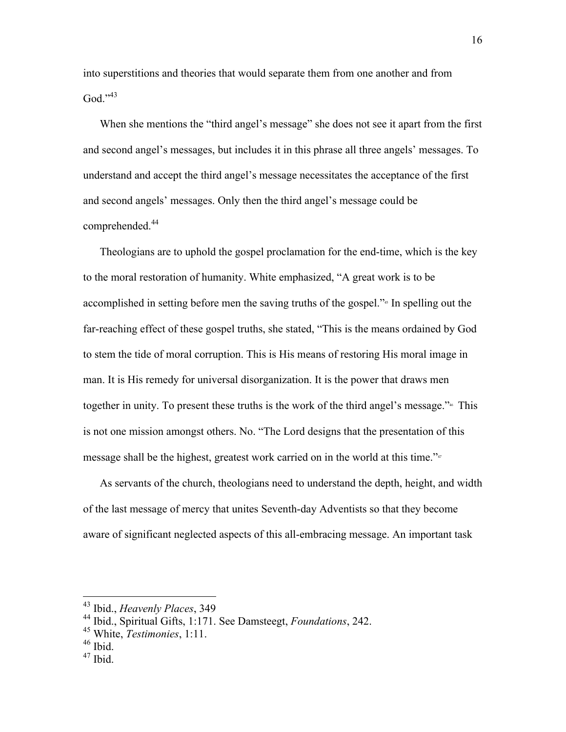into superstitions and theories that would separate them from one another and from God." $43$ 

When she mentions the "third angel's message" she does not see it apart from the first and second angel's messages, but includes it in this phrase all three angels' messages. To understand and accept the third angel's message necessitates the acceptance of the first and second angels' messages. Only then the third angel's message could be comprehended.<sup>44</sup>

Theologians are to uphold the gospel proclamation for the end-time, which is the key to the moral restoration of humanity. White emphasized, "A great work is to be accomplished in setting before men the saving truths of the gospel."<sup>45</sup> In spelling out the far-reaching effect of these gospel truths, she stated, "This is the means ordained by God to stem the tide of moral corruption. This is His means of restoring His moral image in man. It is His remedy for universal disorganization. It is the power that draws men together in unity. To present these truths is the work of the third angel's message."<sup>46</sup> This is not one mission amongst others. No. "The Lord designs that the presentation of this message shall be the highest, greatest work carried on in the world at this time."<sup>47</sup>

As servants of the church, theologians need to understand the depth, height, and width of the last message of mercy that unites Seventh-day Adventists so that they become aware of significant neglected aspects of this all-embracing message. An important task

 <sup>43</sup> Ibid., *Heavenly Places*, 349

<sup>44</sup> Ibid., Spiritual Gifts, 1:171. See Damsteegt, *Foundations*, 242.

<sup>45</sup> White, *Testimonies*, 1:11.

 $46$  Ibid.

 $47$  Ibid.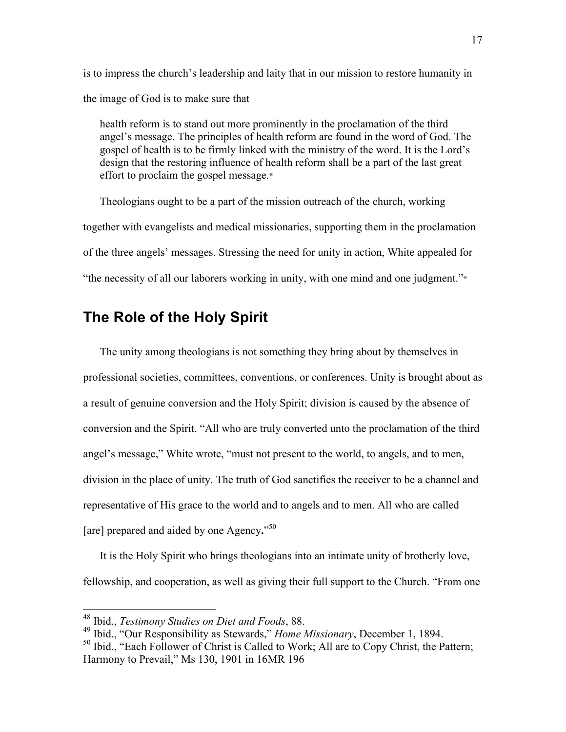is to impress the church's leadership and laity that in our mission to restore humanity in the image of God is to make sure that

health reform is to stand out more prominently in the proclamation of the third angel's message. The principles of health reform are found in the word of God. The gospel of health is to be firmly linked with the ministry of the word. It is the Lord's design that the restoring influence of health reform shall be a part of the last great effort to proclaim the gospel message.<sup>48</sup>

Theologians ought to be a part of the mission outreach of the church, working together with evangelists and medical missionaries, supporting them in the proclamation of the three angels' messages. Stressing the need for unity in action, White appealed for "the necessity of all our laborers working in unity, with one mind and one judgment."

# **The Role of the Holy Spirit**

The unity among theologians is not something they bring about by themselves in professional societies, committees, conventions, or conferences. Unity is brought about as a result of genuine conversion and the Holy Spirit; division is caused by the absence of conversion and the Spirit. "All who are truly converted unto the proclamation of the third angel's message," White wrote, "must not present to the world, to angels, and to men, division in the place of unity. The truth of God sanctifies the receiver to be a channel and representative of His grace to the world and to angels and to men. All who are called [are] prepared and aided by one Agency**.**" 50

It is the Holy Spirit who brings theologians into an intimate unity of brotherly love, fellowship, and cooperation, as well as giving their full support to the Church. "From one

 <sup>48</sup> Ibid., *Testimony Studies on Diet and Foods*, 88.

<sup>49</sup> Ibid., "Our Responsibility as Stewards," *Home Missionary*, December 1, 1894.

 $50$  Ibid., "Each Follower of Christ is Called to Work; All are to Copy Christ, the Pattern; Harmony to Prevail," Ms 130, 1901 in 16MR 196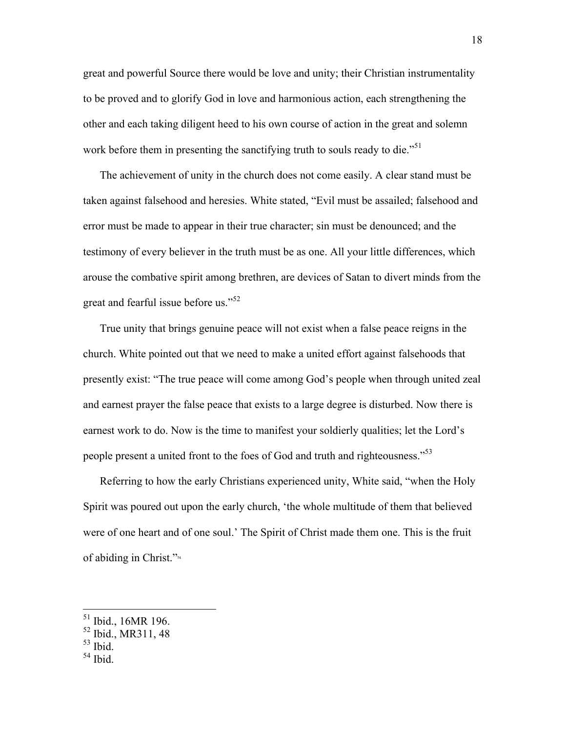great and powerful Source there would be love and unity; their Christian instrumentality to be proved and to glorify God in love and harmonious action, each strengthening the other and each taking diligent heed to his own course of action in the great and solemn work before them in presenting the sanctifying truth to souls ready to die.<sup>551</sup>

The achievement of unity in the church does not come easily. A clear stand must be taken against falsehood and heresies. White stated, "Evil must be assailed; falsehood and error must be made to appear in their true character; sin must be denounced; and the testimony of every believer in the truth must be as one. All your little differences, which arouse the combative spirit among brethren, are devices of Satan to divert minds from the great and fearful issue before us."<sup>52</sup>

True unity that brings genuine peace will not exist when a false peace reigns in the church. White pointed out that we need to make a united effort against falsehoods that presently exist: "The true peace will come among God's people when through united zeal and earnest prayer the false peace that exists to a large degree is disturbed. Now there is earnest work to do. Now is the time to manifest your soldierly qualities; let the Lord's people present a united front to the foes of God and truth and righteousness."<sup>53</sup>

Referring to how the early Christians experienced unity, White said, "when the Holy Spirit was poured out upon the early church, 'the whole multitude of them that believed were of one heart and of one soul.' The Spirit of Christ made them one. This is the fruit of abiding in Christ."<sup>54</sup>

 $54$  Ibid.

 <sup>51</sup> Ibid., 16MR 196.

<sup>52</sup> Ibid., MR311, 48

 $53$  Ibid.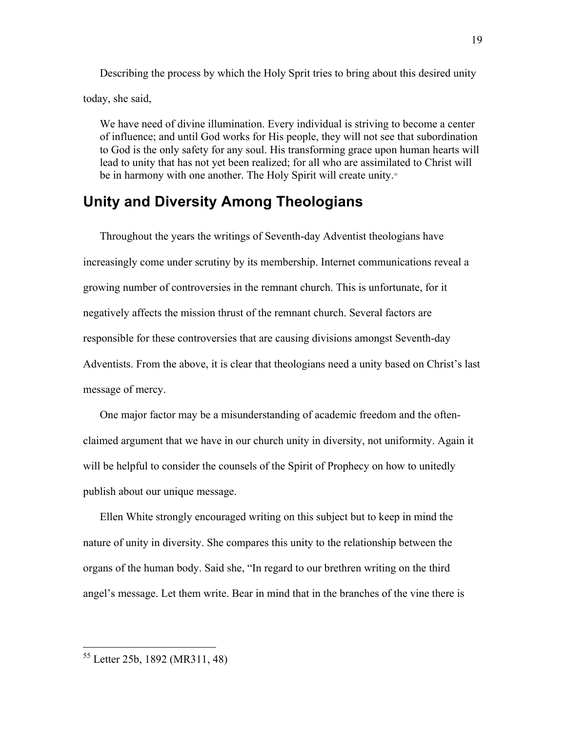Describing the process by which the Holy Sprit tries to bring about this desired unity today, she said,

We have need of divine illumination. Every individual is striving to become a center of influence; and until God works for His people, they will not see that subordination to God is the only safety for any soul. His transforming grace upon human hearts will lead to unity that has not yet been realized; for all who are assimilated to Christ will be in harmony with one another. The Holy Spirit will create unity.<sup>55</sup>

### **Unity and Diversity Among Theologians**

Throughout the years the writings of Seventh-day Adventist theologians have increasingly come under scrutiny by its membership. Internet communications reveal a growing number of controversies in the remnant church. This is unfortunate, for it negatively affects the mission thrust of the remnant church. Several factors are responsible for these controversies that are causing divisions amongst Seventh-day Adventists. From the above, it is clear that theologians need a unity based on Christ's last message of mercy.

One major factor may be a misunderstanding of academic freedom and the oftenclaimed argument that we have in our church unity in diversity, not uniformity. Again it will be helpful to consider the counsels of the Spirit of Prophecy on how to unitedly publish about our unique message.

Ellen White strongly encouraged writing on this subject but to keep in mind the nature of unity in diversity. She compares this unity to the relationship between the organs of the human body. Said she, "In regard to our brethren writing on the third angel's message. Let them write. Bear in mind that in the branches of the vine there is

 <sup>55</sup> Letter 25b, 1892 (MR311, 48)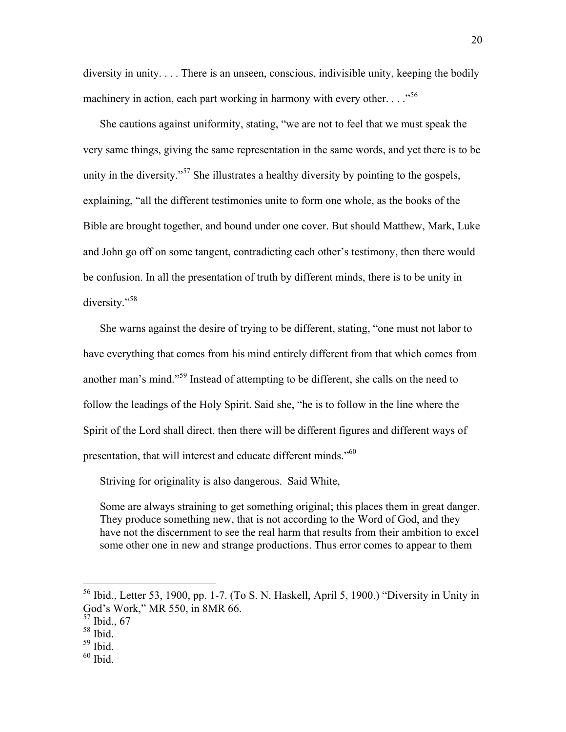diversity in unity. . . . There is an unseen, conscious, indivisible unity, keeping the bodily machinery in action, each part working in harmony with every other. . . ."<sup>56</sup>

She cautions against uniformity, stating, "we are not to feel that we must speak the very same things, giving the same representation in the same words, and yet there is to be unity in the diversity."<sup>57</sup> She illustrates a healthy diversity by pointing to the gospels, explaining, "all the different testimonies unite to form one whole, as the books of the Bible are brought together, and bound under one cover. But should Matthew, Mark, Luke and John go off on some tangent, contradicting each other's testimony, then there would be confusion. In all the presentation of truth by different minds, there is to be unity in diversity."<sup>58</sup>

She warns against the desire of trying to be different, stating, "one must not labor to have everything that comes from his mind entirely different from that which comes from another man's mind."<sup>59</sup> Instead of attempting to be different, she calls on the need to follow the leadings of the Holy Spirit. Said she, "he is to follow in the line where the Spirit of the Lord shall direct, then there will be different figures and different ways of presentation, that will interest and educate different minds."60

Striving for originality is also dangerous. Said White,

Some are always straining to get something original; this places them in great danger. They produce something new, that is not according to the Word of God, and they have not the discernment to see the real harm that results from their ambition to excel some other one in new and strange productions. Thus error comes to appear to them

<sup>&</sup>lt;sup>56</sup> Ibid., Letter 53, 1900, pp. 1-7. (To S. N. Haskell, April 5, 1900.) "Diversity in Unity in God's Work," MR 550, in 8MR 66.

<sup>57</sup> Ibid., 67

<sup>58</sup> Ibid.

 $59$  Ibid.

 $60$  Ibid.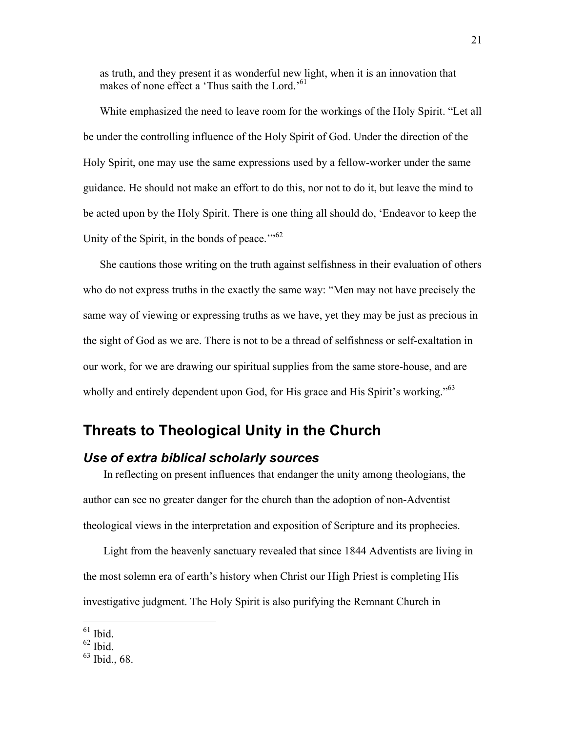as truth, and they present it as wonderful new light, when it is an innovation that makes of none effect a 'Thus saith the Lord.'<sup>61</sup>

White emphasized the need to leave room for the workings of the Holy Spirit. "Let all be under the controlling influence of the Holy Spirit of God. Under the direction of the Holy Spirit, one may use the same expressions used by a fellow-worker under the same guidance. He should not make an effort to do this, nor not to do it, but leave the mind to be acted upon by the Holy Spirit. There is one thing all should do, 'Endeavor to keep the Unity of the Spirit, in the bonds of peace. $\cdots$ <sup>62</sup>

She cautions those writing on the truth against selfishness in their evaluation of others who do not express truths in the exactly the same way: "Men may not have precisely the same way of viewing or expressing truths as we have, yet they may be just as precious in the sight of God as we are. There is not to be a thread of selfishness or self-exaltation in our work, for we are drawing our spiritual supplies from the same store-house, and are wholly and entirely dependent upon God, for His grace and His Spirit's working."<sup>63</sup>

### **Threats to Theological Unity in the Church**

#### *Use of extra biblical scholarly sources*

In reflecting on present influences that endanger the unity among theologians, the author can see no greater danger for the church than the adoption of non-Adventist theological views in the interpretation and exposition of Scripture and its prophecies.

Light from the heavenly sanctuary revealed that since 1844 Adventists are living in the most solemn era of earth's history when Christ our High Priest is completing His investigative judgment. The Holy Spirit is also purifying the Remnant Church in

 $^{61}$  Ibid.

 $62$  Ibid.

 $63$  Ibid., 68.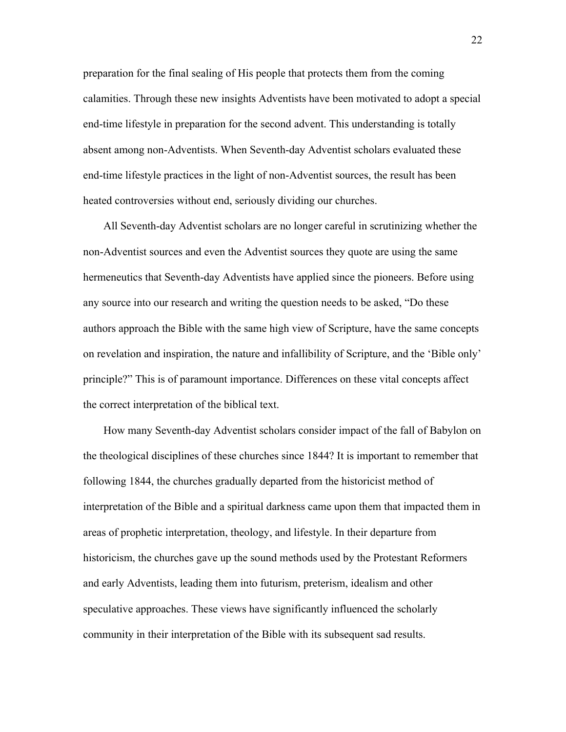preparation for the final sealing of His people that protects them from the coming calamities. Through these new insights Adventists have been motivated to adopt a special end-time lifestyle in preparation for the second advent. This understanding is totally absent among non-Adventists. When Seventh-day Adventist scholars evaluated these end-time lifestyle practices in the light of non-Adventist sources, the result has been heated controversies without end, seriously dividing our churches.

All Seventh-day Adventist scholars are no longer careful in scrutinizing whether the non-Adventist sources and even the Adventist sources they quote are using the same hermeneutics that Seventh-day Adventists have applied since the pioneers. Before using any source into our research and writing the question needs to be asked, "Do these authors approach the Bible with the same high view of Scripture, have the same concepts on revelation and inspiration, the nature and infallibility of Scripture, and the 'Bible only' principle?" This is of paramount importance. Differences on these vital concepts affect the correct interpretation of the biblical text.

How many Seventh-day Adventist scholars consider impact of the fall of Babylon on the theological disciplines of these churches since 1844? It is important to remember that following 1844, the churches gradually departed from the historicist method of interpretation of the Bible and a spiritual darkness came upon them that impacted them in areas of prophetic interpretation, theology, and lifestyle. In their departure from historicism, the churches gave up the sound methods used by the Protestant Reformers and early Adventists, leading them into futurism, preterism, idealism and other speculative approaches. These views have significantly influenced the scholarly community in their interpretation of the Bible with its subsequent sad results.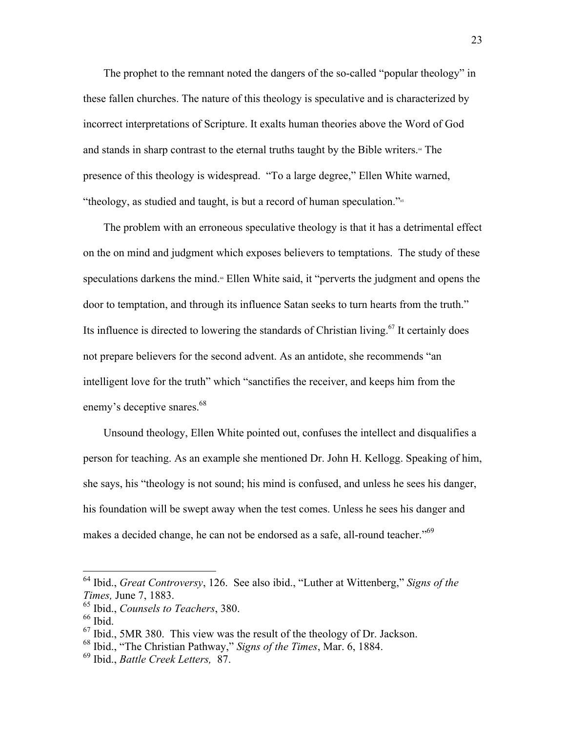The prophet to the remnant noted the dangers of the so-called "popular theology" in these fallen churches. The nature of this theology is speculative and is characterized by incorrect interpretations of Scripture. It exalts human theories above the Word of God and stands in sharp contrast to the eternal truths taught by the Bible writers.<sup>44</sup> The presence of this theology is widespread. "To a large degree," Ellen White warned, "theology, as studied and taught, is but a record of human speculation." $\epsilon$ 

The problem with an erroneous speculative theology is that it has a detrimental effect on the on mind and judgment which exposes believers to temptations. The study of these speculations darkens the mind.<sup>46</sup> Ellen White said, it "perverts the judgment and opens the door to temptation, and through its influence Satan seeks to turn hearts from the truth." Its influence is directed to lowering the standards of Christian living.<sup>67</sup> It certainly does not prepare believers for the second advent. As an antidote, she recommends "an intelligent love for the truth" which "sanctifies the receiver, and keeps him from the enemy's deceptive snares.<sup>68</sup>

Unsound theology, Ellen White pointed out, confuses the intellect and disqualifies a person for teaching. As an example she mentioned Dr. John H. Kellogg. Speaking of him, she says, his "theology is not sound; his mind is confused, and unless he sees his danger, his foundation will be swept away when the test comes. Unless he sees his danger and makes a decided change, he can not be endorsed as a safe, all-round teacher."<sup>69</sup>

 <sup>64</sup> Ibid., *Great Controversy*, 126. See also ibid., "Luther at Wittenberg," *Signs of the Times,* June 7, 1883.

<sup>65</sup> Ibid., *Counsels to Teachers*, 380.

 $66$  Ibid.

 $<sup>67</sup>$  Ibid., 5MR 380. This view was the result of the theology of Dr. Jackson.</sup>

<sup>68</sup> Ibid., "The Christian Pathway," *Signs of the Times*, Mar. 6, 1884.

<sup>69</sup> Ibid., *Battle Creek Letters,* 87.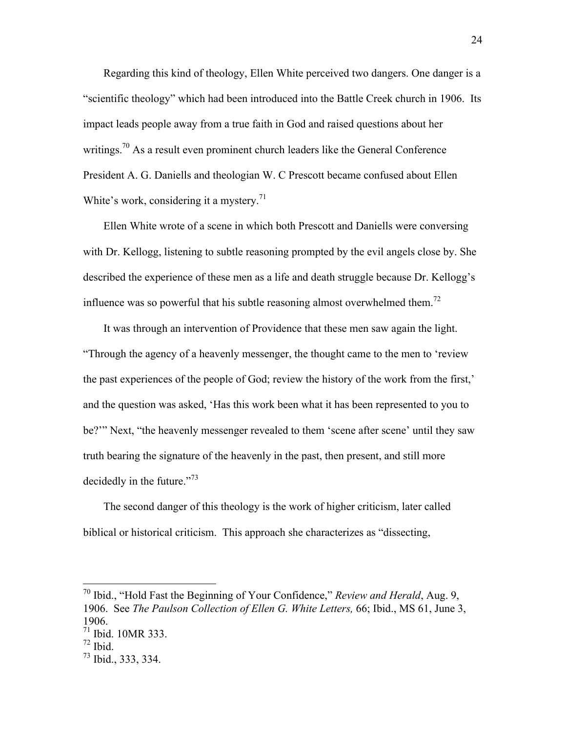Regarding this kind of theology, Ellen White perceived two dangers. One danger is a "scientific theology" which had been introduced into the Battle Creek church in 1906. Its impact leads people away from a true faith in God and raised questions about her writings.<sup>70</sup> As a result even prominent church leaders like the General Conference President A. G. Daniells and theologian W. C Prescott became confused about Ellen White's work, considering it a mystery.<sup>71</sup>

Ellen White wrote of a scene in which both Prescott and Daniells were conversing with Dr. Kellogg, listening to subtle reasoning prompted by the evil angels close by. She described the experience of these men as a life and death struggle because Dr. Kellogg's influence was so powerful that his subtle reasoning almost overwhelmed them.<sup>72</sup>

It was through an intervention of Providence that these men saw again the light. "Through the agency of a heavenly messenger, the thought came to the men to 'review the past experiences of the people of God; review the history of the work from the first,' and the question was asked, 'Has this work been what it has been represented to you to be?'" Next, "the heavenly messenger revealed to them 'scene after scene' until they saw truth bearing the signature of the heavenly in the past, then present, and still more decidedly in the future."<sup>73</sup>

The second danger of this theology is the work of higher criticism, later called biblical or historical criticism. This approach she characterizes as "dissecting,

 <sup>70</sup> Ibid., "Hold Fast the Beginning of Your Confidence," *Review and Herald*, Aug. 9, 1906. See *The Paulson Collection of Ellen G. White Letters,* 66; Ibid., MS 61, June 3, 1906.

<sup>71</sup> Ibid. 10MR 333.

 $72$  Ibid.

 $^{73}$  Ibid., 333, 334.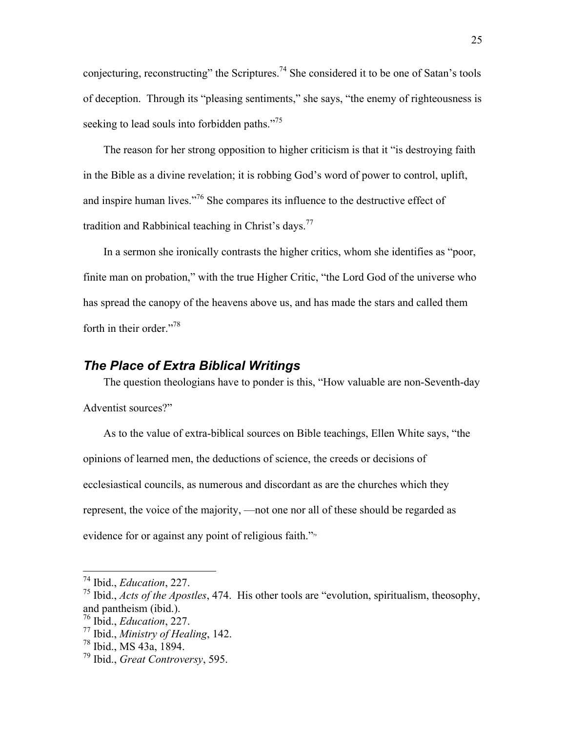conjecturing, reconstructing" the Scriptures.<sup>74</sup> She considered it to be one of Satan's tools of deception. Through its "pleasing sentiments," she says, "the enemy of righteousness is seeking to lead souls into forbidden paths. $175$ 

The reason for her strong opposition to higher criticism is that it "is destroying faith in the Bible as a divine revelation; it is robbing God's word of power to control, uplift, and inspire human lives."<sup>76</sup> She compares its influence to the destructive effect of tradition and Rabbinical teaching in Christ's days.<sup>77</sup>

In a sermon she ironically contrasts the higher critics, whom she identifies as "poor, finite man on probation," with the true Higher Critic, "the Lord God of the universe who has spread the canopy of the heavens above us, and has made the stars and called them forth in their order."78

### *The Place of Extra Biblical Writings*

The question theologians have to ponder is this, "How valuable are non-Seventh-day Adventist sources?"

As to the value of extra-biblical sources on Bible teachings, Ellen White says, "the opinions of learned men, the deductions of science, the creeds or decisions of ecclesiastical councils, as numerous and discordant as are the churches which they represent, the voice of the majority, —not one nor all of these should be regarded as evidence for or against any point of religious faith." $\frac{3}{2}$ 

 <sup>74</sup> Ibid., *Education*, 227.

<sup>75</sup> Ibid., *Acts of the Apostles*, 474. His other tools are "evolution, spiritualism, theosophy, and pantheism (ibid.). <sup>76</sup> Ibid., *Education*, 227.

<sup>77</sup> Ibid., *Ministry of Healing*, 142.

<sup>78</sup> Ibid., MS 43a, 1894.

<sup>79</sup> Ibid., *Great Controversy*, 595.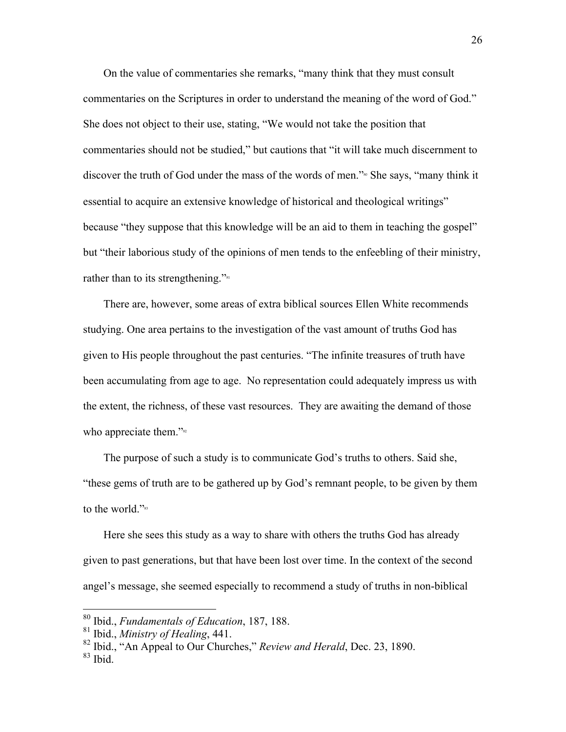On the value of commentaries she remarks, "many think that they must consult commentaries on the Scriptures in order to understand the meaning of the word of God." She does not object to their use, stating, "We would not take the position that commentaries should not be studied," but cautions that "it will take much discernment to discover the truth of God under the mass of the words of men."<sup>80</sup> She says, "many think it essential to acquire an extensive knowledge of historical and theological writings" because "they suppose that this knowledge will be an aid to them in teaching the gospel" but "their laborious study of the opinions of men tends to the enfeebling of their ministry, rather than to its strengthening."<sup>81</sup>

There are, however, some areas of extra biblical sources Ellen White recommends studying. One area pertains to the investigation of the vast amount of truths God has given to His people throughout the past centuries. "The infinite treasures of truth have been accumulating from age to age. No representation could adequately impress us with the extent, the richness, of these vast resources. They are awaiting the demand of those who appreciate them."<sup>82</sup>

The purpose of such a study is to communicate God's truths to others. Said she, "these gems of truth are to be gathered up by God's remnant people, to be given by them to the world."<sup>83</sup>

Here she sees this study as a way to share with others the truths God has already given to past generations, but that have been lost over time. In the context of the second angel's message, she seemed especially to recommend a study of truths in non-biblical

 <sup>80</sup> Ibid., *Fundamentals of Education*, 187, 188.

<sup>81</sup> Ibid., *Ministry of Healing*, 441.

<sup>82</sup> Ibid., "An Appeal to Our Churches," *Review and Herald*, Dec. 23, 1890.  $83$  Ibid.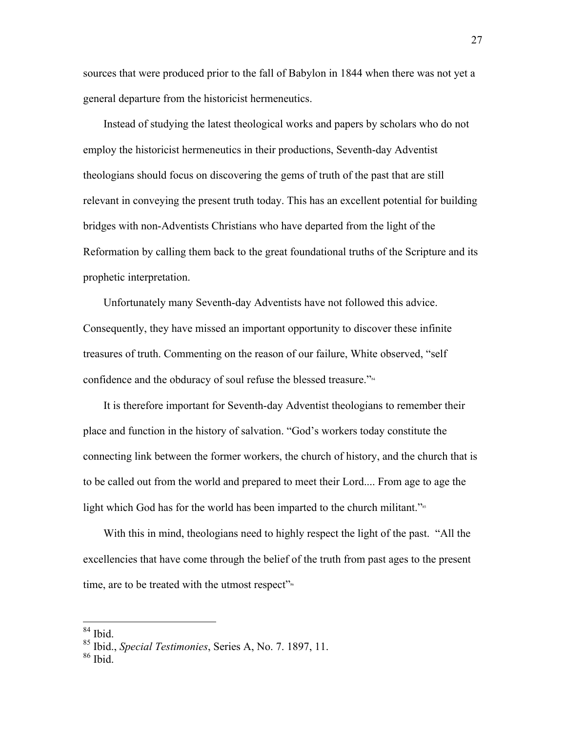sources that were produced prior to the fall of Babylon in 1844 when there was not yet a general departure from the historicist hermeneutics.

Instead of studying the latest theological works and papers by scholars who do not employ the historicist hermeneutics in their productions, Seventh-day Adventist theologians should focus on discovering the gems of truth of the past that are still relevant in conveying the present truth today. This has an excellent potential for building bridges with non-Adventists Christians who have departed from the light of the Reformation by calling them back to the great foundational truths of the Scripture and its prophetic interpretation.

Unfortunately many Seventh-day Adventists have not followed this advice. Consequently, they have missed an important opportunity to discover these infinite treasures of truth. Commenting on the reason of our failure, White observed, "self confidence and the obduracy of soul refuse the blessed treasure."<sup>54</sup>

It is therefore important for Seventh-day Adventist theologians to remember their place and function in the history of salvation. "God's workers today constitute the connecting link between the former workers, the church of history, and the church that is to be called out from the world and prepared to meet their Lord.... From age to age the light which God has for the world has been imparted to the church militant." $\frac{5}{5}$ 

With this in mind, theologians need to highly respect the light of the past. "All the excellencies that have come through the belief of the truth from past ages to the present time, are to be treated with the utmost respect $\mathscr{C}_{\infty}$ 

 $^{84}$  Ibid.

<sup>85</sup> Ibid., *Special Testimonies*, Series A, No. 7. 1897, 11.

<sup>86</sup> Ibid.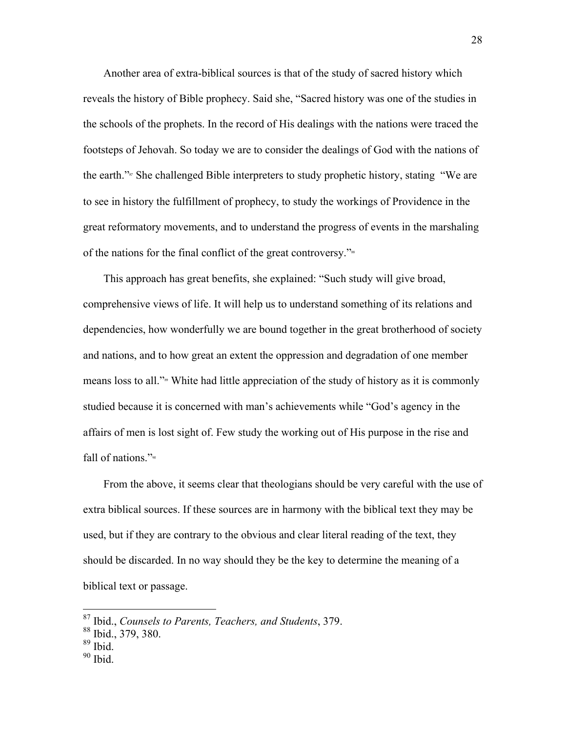Another area of extra-biblical sources is that of the study of sacred history which reveals the history of Bible prophecy. Said she, "Sacred history was one of the studies in the schools of the prophets. In the record of His dealings with the nations were traced the footsteps of Jehovah. So today we are to consider the dealings of God with the nations of the earth." $\mathbf{v}$  She challenged Bible interpreters to study prophetic history, stating "We are to see in history the fulfillment of prophecy, to study the workings of Providence in the great reformatory movements, and to understand the progress of events in the marshaling of the nations for the final conflict of the great controversy."<sup>88</sup>

This approach has great benefits, she explained: "Such study will give broad, comprehensive views of life. It will help us to understand something of its relations and dependencies, how wonderfully we are bound together in the great brotherhood of society and nations, and to how great an extent the oppression and degradation of one member means loss to all."<sup>89</sup> White had little appreciation of the study of history as it is commonly studied because it is concerned with man's achievements while "God's agency in the affairs of men is lost sight of. Few study the working out of His purpose in the rise and fall of nations."<sup>90</sup>

From the above, it seems clear that theologians should be very careful with the use of extra biblical sources. If these sources are in harmony with the biblical text they may be used, but if they are contrary to the obvious and clear literal reading of the text, they should be discarded. In no way should they be the key to determine the meaning of a biblical text or passage.

 $90$  Ibid.

 <sup>87</sup> Ibid., *Counsels to Parents, Teachers, and Students*, 379.

<sup>88</sup> Ibid., 379, 380.

 $89$  Ibid.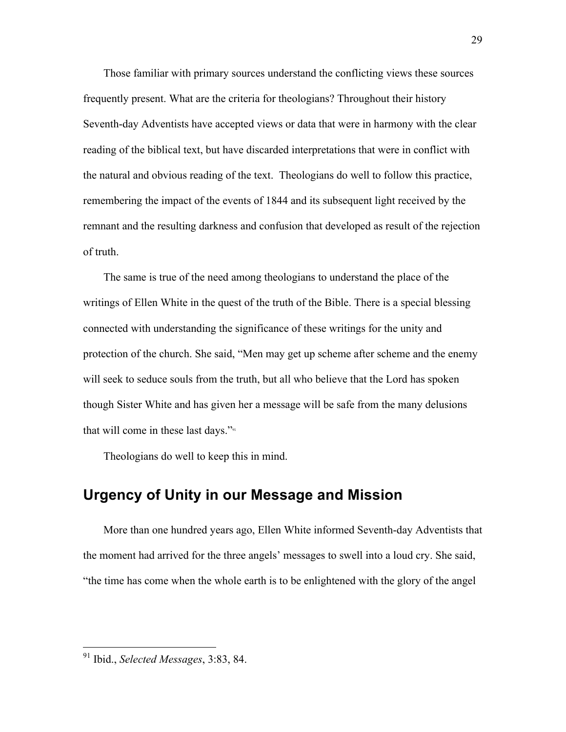Those familiar with primary sources understand the conflicting views these sources frequently present. What are the criteria for theologians? Throughout their history Seventh-day Adventists have accepted views or data that were in harmony with the clear reading of the biblical text, but have discarded interpretations that were in conflict with the natural and obvious reading of the text. Theologians do well to follow this practice, remembering the impact of the events of 1844 and its subsequent light received by the remnant and the resulting darkness and confusion that developed as result of the rejection of truth.

The same is true of the need among theologians to understand the place of the writings of Ellen White in the quest of the truth of the Bible. There is a special blessing connected with understanding the significance of these writings for the unity and protection of the church. She said, "Men may get up scheme after scheme and the enemy will seek to seduce souls from the truth, but all who believe that the Lord has spoken though Sister White and has given her a message will be safe from the many delusions that will come in these last days."<sup>91</sup>

Theologians do well to keep this in mind.

### **Urgency of Unity in our Message and Mission**

More than one hundred years ago, Ellen White informed Seventh-day Adventists that the moment had arrived for the three angels' messages to swell into a loud cry. She said, "the time has come when the whole earth is to be enlightened with the glory of the angel

 <sup>91</sup> Ibid., *Selected Messages*, 3:83, 84.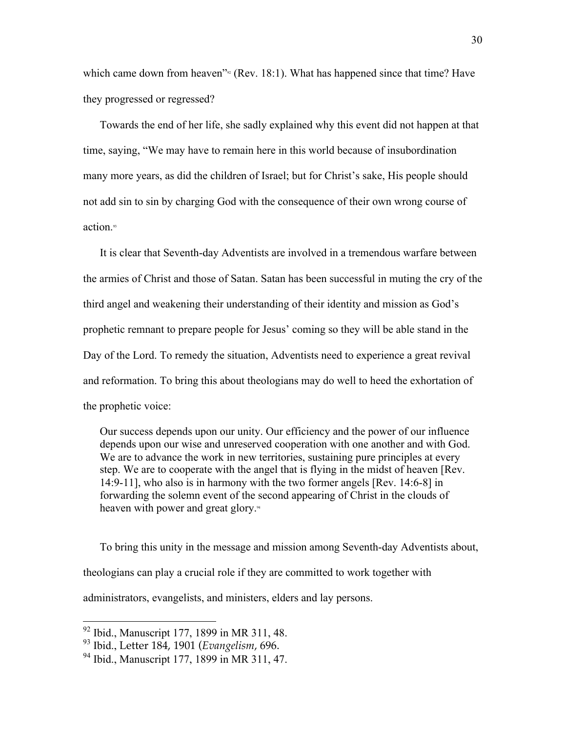which came down from heaven"<sup>9</sup> (Rev. 18:1). What has happened since that time? Have they progressed or regressed?

Towards the end of her life, she sadly explained why this event did not happen at that time, saying, "We may have to remain here in this world because of insubordination many more years, as did the children of Israel; but for Christ's sake, His people should not add sin to sin by charging God with the consequence of their own wrong course of action<sup>93</sup>

It is clear that Seventh-day Adventists are involved in a tremendous warfare between the armies of Christ and those of Satan. Satan has been successful in muting the cry of the third angel and weakening their understanding of their identity and mission as God's prophetic remnant to prepare people for Jesus' coming so they will be able stand in the Day of the Lord. To remedy the situation, Adventists need to experience a great revival and reformation. To bring this about theologians may do well to heed the exhortation of the prophetic voice:

Our success depends upon our unity. Our efficiency and the power of our influence depends upon our wise and unreserved cooperation with one another and with God. We are to advance the work in new territories, sustaining pure principles at every step. We are to cooperate with the angel that is flying in the midst of heaven [Rev. 14:9-11], who also is in harmony with the two former angels [Rev. 14:6-8] in forwarding the solemn event of the second appearing of Christ in the clouds of heaven with power and great glory.<sup>44</sup>

To bring this unity in the message and mission among Seventh-day Adventists about, theologians can play a crucial role if they are committed to work together with administrators, evangelists, and ministers, elders and lay persons.

 <sup>92</sup> Ibid., Manuscript 177, 1899 in MR 311, 48.

<sup>93</sup> Ibid., Letter 184, 1901 (*Evangelism*, 696.

<sup>&</sup>lt;sup>94</sup> Ibid., Manuscript 177, 1899 in MR 311, 47.